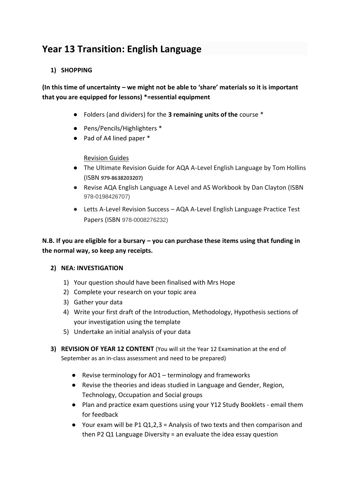# **Year 13 Transition: English Language**

#### **1) SHOPPING**

## **(In this time of uncertainty – we might not be able to 'share' materials so it is important that you are equipped for lessons) \*=essential equipment**

- Folders (and dividers) for the **3 remaining units of the** course \*
- Pens/Pencils/Highlighters \*
- Pad of A4 lined paper \*

#### Revision Guides

- The Ultimate Revision Guide for AQA A-Level English Language by Tom Hollins (ISBN **979-8638203207)**
- Revise AQA English Language A Level and AS Workbook by Dan Clayton (ISBN 978-0198426707)
- Letts A-Level Revision Success AQA A-Level English Language Practice Test Papers (ISBN 978-0008276232)

### **N.B. If you are eligible for a bursary – you can purchase these items using that funding in the normal way, so keep any receipts.**

#### **2) NEA: INVESTIGATION**

- 1) Your question should have been finalised with Mrs Hope
- 2) Complete your research on your topic area
- 3) Gather your data
- 4) Write your first draft of the Introduction, Methodology, Hypothesis sections of your investigation using the template
- 5) Undertake an initial analysis of your data
- **3) REVISION OF YEAR 12 CONTENT** (You will sit the Year 12 Examination at the end of September as an in-class assessment and need to be prepared)
	- Revise terminology for AO1 terminology and frameworks
	- Revise the theories and ideas studied in Language and Gender, Region, Technology, Occupation and Social groups
	- Plan and practice exam questions using your Y12 Study Booklets email them for feedback
	- Your exam will be P1 Q1,2,3 = Analysis of two texts and then comparison and then P2 Q1 Language Diversity = an evaluate the idea essay question